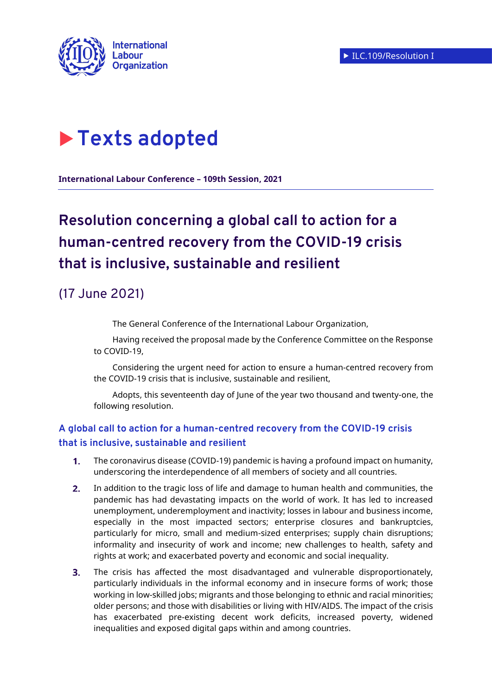

# **Texts adopted**

**International Labour Conference – 109th Session, 2021**

# **Resolution concerning a global call to action for a human-centred recovery from the COVID-19 crisis that is inclusive, sustainable and resilient**

# (17 June 2021)

The General Conference of the International Labour Organization,

Having received the proposal made by the Conference Committee on the Response to COVID-19,

Considering the urgent need for action to ensure a human-centred recovery from the COVID-19 crisis that is inclusive, sustainable and resilient,

Adopts, this seventeenth day of June of the year two thousand and twenty-one, the following resolution.

## **A global call to action for a human-centred recovery from the COVID-19 crisis that is inclusive, sustainable and resilient**

- $1<sub>1</sub>$ The coronavirus disease (COVID-19) pandemic is having a profound impact on humanity, underscoring the interdependence of all members of society and all countries.
- $2.$ In addition to the tragic loss of life and damage to human health and communities, the pandemic has had devastating impacts on the world of work. It has led to increased unemployment, underemployment and inactivity; losses in labour and business income, especially in the most impacted sectors; enterprise closures and bankruptcies, particularly for micro, small and medium-sized enterprises; supply chain disruptions; informality and insecurity of work and income; new challenges to health, safety and rights at work; and exacerbated poverty and economic and social inequality.
- $3.$ The crisis has affected the most disadvantaged and vulnerable disproportionately, particularly individuals in the informal economy and in insecure forms of work; those working in low-skilled jobs; migrants and those belonging to ethnic and racial minorities; older persons; and those with disabilities or living with HIV/AIDS. The impact of the crisis has exacerbated pre-existing decent work deficits, increased poverty, widened inequalities and exposed digital gaps within and among countries.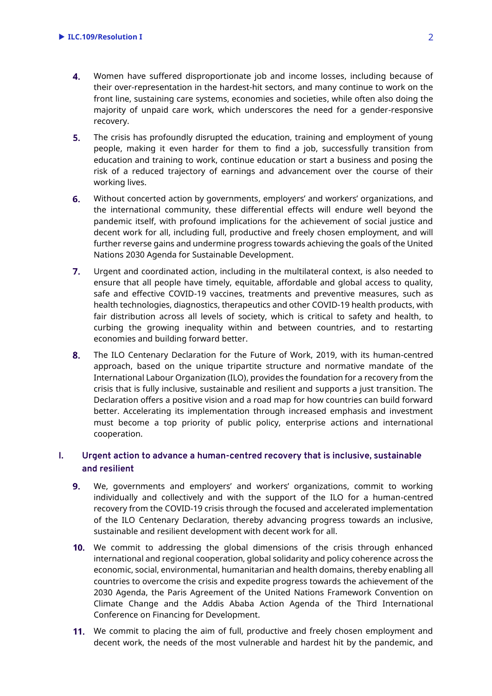- 4. Women have suffered disproportionate job and income losses, including because of their over-representation in the hardest-hit sectors, and many continue to work on the front line, sustaining care systems, economies and societies, while often also doing the majority of unpaid care work, which underscores the need for a gender-responsive recovery.
- $5.$ The crisis has profoundly disrupted the education, training and employment of young people, making it even harder for them to find a job, successfully transition from education and training to work, continue education or start a business and posing the risk of a reduced trajectory of earnings and advancement over the course of their working lives.
- 6. Without concerted action by governments, employers' and workers' organizations, and the international community, these differential effects will endure well beyond the pandemic itself, with profound implications for the achievement of social justice and decent work for all, including full, productive and freely chosen employment, and will further reverse gains and undermine progress towards achieving the goals of the United Nations 2030 Agenda for Sustainable Development.
- $7.$ Urgent and coordinated action, including in the multilateral context, is also needed to ensure that all people have timely, equitable, affordable and global access to quality, safe and effective COVID-19 vaccines, treatments and preventive measures, such as health technologies, diagnostics, therapeutics and other COVID-19 health products, with fair distribution across all levels of society, which is critical to safety and health, to curbing the growing inequality within and between countries, and to restarting economies and building forward better.
- 8. The ILO Centenary Declaration for the Future of Work, 2019, with its human-centred approach, based on the unique tripartite structure and normative mandate of the International Labour Organization (ILO), provides the foundation for a recovery from the crisis that is fully inclusive, sustainable and resilient and supports a just transition. The Declaration offers a positive vision and a road map for how countries can build forward better. Accelerating its implementation through increased emphasis and investment must become a top priority of public policy, enterprise actions and international cooperation.

### **I. Urgent action to advance a human-centred recovery that is inclusive, sustainable and resilient**

- We, governments and employers' and workers' organizations, commit to working  $9.$ individually and collectively and with the support of the ILO for a human-centred recovery from the COVID-19 crisis through the focused and accelerated implementation of the ILO Centenary Declaration, thereby advancing progress towards an inclusive, sustainable and resilient development with decent work for all.
- **10.** We commit to addressing the global dimensions of the crisis through enhanced international and regional cooperation, global solidarity and policy coherence across the economic, social, environmental, humanitarian and health domains, thereby enabling all countries to overcome the crisis and expedite progress towards the achievement of the 2030 Agenda, the Paris Agreement of the United Nations Framework Convention on Climate Change and the Addis Ababa Action Agenda of the Third International Conference on Financing for Development.
- We commit to placing the aim of full, productive and freely chosen employment and decent work, the needs of the most vulnerable and hardest hit by the pandemic, and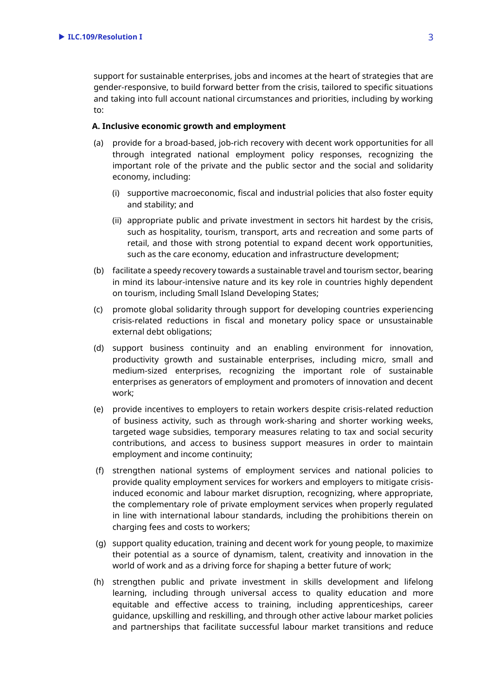support for sustainable enterprises, jobs and incomes at the heart of strategies that are gender-responsive, to build forward better from the crisis, tailored to specific situations and taking into full account national circumstances and priorities, including by working to:

#### **A. Inclusive economic growth and employment**

- (a) provide for a broad-based, job-rich recovery with decent work opportunities for all through integrated national employment policy responses, recognizing the important role of the private and the public sector and the social and solidarity economy, including:
	- (i) supportive macroeconomic, fiscal and industrial policies that also foster equity and stability; and
	- (ii) appropriate public and private investment in sectors hit hardest by the crisis, such as hospitality, tourism, transport, arts and recreation and some parts of retail, and those with strong potential to expand decent work opportunities, such as the care economy, education and infrastructure development;
- (b) facilitate a speedy recovery towards a sustainable travel and tourism sector, bearing in mind its labour-intensive nature and its key role in countries highly dependent on tourism, including Small Island Developing States;
- (c) promote global solidarity through support for developing countries experiencing crisis-related reductions in fiscal and monetary policy space or unsustainable external debt obligations;
- (d) support business continuity and an enabling environment for innovation, productivity growth and sustainable enterprises, including micro, small and medium-sized enterprises, recognizing the important role of sustainable enterprises as generators of employment and promoters of innovation and decent work;
- (e) provide incentives to employers to retain workers despite crisis-related reduction of business activity, such as through work-sharing and shorter working weeks, targeted wage subsidies, temporary measures relating to tax and social security contributions, and access to business support measures in order to maintain employment and income continuity;
- (f) strengthen national systems of employment services and national policies to provide quality employment services for workers and employers to mitigate crisisinduced economic and labour market disruption, recognizing, where appropriate, the complementary role of private employment services when properly regulated in line with international labour standards, including the prohibitions therein on charging fees and costs to workers;
- (g) support quality education, training and decent work for young people, to maximize their potential as a source of dynamism, talent, creativity and innovation in the world of work and as a driving force for shaping a better future of work;
- (h) strengthen public and private investment in skills development and lifelong learning, including through universal access to quality education and more equitable and effective access to training, including apprenticeships, career guidance, upskilling and reskilling, and through other active labour market policies and partnerships that facilitate successful labour market transitions and reduce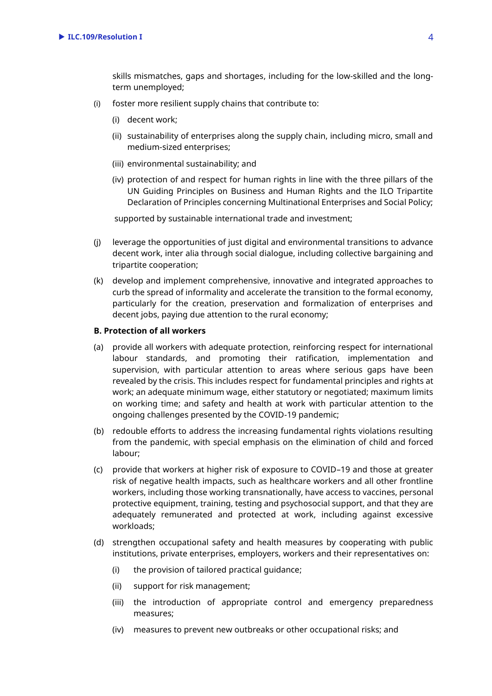skills mismatches, gaps and shortages, including for the low-skilled and the longterm unemployed;

- (i) foster more resilient supply chains that contribute to:
	- (i) decent work;
	- (ii) sustainability of enterprises along the supply chain, including micro, small and medium-sized enterprises;
	- (iii) environmental sustainability; and
	- (iv) protection of and respect for human rights in line with the three pillars of the UN Guiding Principles on Business and Human Rights and the ILO Tripartite Declaration of Principles concerning Multinational Enterprises and Social Policy;

supported by sustainable international trade and investment;

- (j) leverage the opportunities of just digital and environmental transitions to advance decent work, inter alia through social dialogue, including collective bargaining and tripartite cooperation;
- (k) develop and implement comprehensive, innovative and integrated approaches to curb the spread of informality and accelerate the transition to the formal economy, particularly for the creation, preservation and formalization of enterprises and decent jobs, paying due attention to the rural economy;

#### **B. Protection of all workers**

- (a) provide all workers with adequate protection, reinforcing respect for international labour standards, and promoting their ratification, implementation and supervision, with particular attention to areas where serious gaps have been revealed by the crisis. This includes respect for fundamental principles and rights at work; an adequate minimum wage, either statutory or negotiated; maximum limits on working time; and safety and health at work with particular attention to the ongoing challenges presented by the COVID-19 pandemic;
- (b) redouble efforts to address the increasing fundamental rights violations resulting from the pandemic, with special emphasis on the elimination of child and forced labour;
- (c) provide that workers at higher risk of exposure to COVID–19 and those at greater risk of negative health impacts, such as healthcare workers and all other frontline workers, including those working transnationally, have access to vaccines, personal protective equipment, training, testing and psychosocial support, and that they are adequately remunerated and protected at work, including against excessive workloads;
- (d) strengthen occupational safety and health measures by cooperating with public institutions, private enterprises, employers, workers and their representatives on:
	- (i) the provision of tailored practical guidance;
	- (ii) support for risk management;
	- (iii) the introduction of appropriate control and emergency preparedness measures;
	- (iv) measures to prevent new outbreaks or other occupational risks; and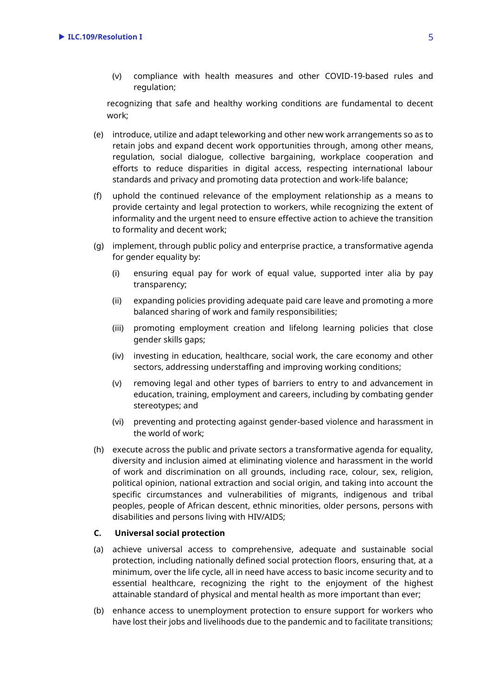(v) compliance with health measures and other COVID-19-based rules and regulation;

recognizing that safe and healthy working conditions are fundamental to decent work;

- (e) introduce, utilize and adapt teleworking and other new work arrangements so as to retain jobs and expand decent work opportunities through, among other means, regulation, social dialogue, collective bargaining, workplace cooperation and efforts to reduce disparities in digital access, respecting international labour standards and privacy and promoting data protection and work-life balance;
- (f) uphold the continued relevance of the employment relationship as a means to provide certainty and legal protection to workers, while recognizing the extent of informality and the urgent need to ensure effective action to achieve the transition to formality and decent work;
- (g) implement, through public policy and enterprise practice, a transformative agenda for gender equality by:
	- (i) ensuring equal pay for work of equal value, supported inter alia by pay transparency;
	- (ii) expanding policies providing adequate paid care leave and promoting a more balanced sharing of work and family responsibilities;
	- (iii) promoting employment creation and lifelong learning policies that close gender skills gaps;
	- (iv) investing in education, healthcare, social work, the care economy and other sectors, addressing understaffing and improving working conditions;
	- (v) removing legal and other types of barriers to entry to and advancement in education, training, employment and careers, including by combating gender stereotypes; and
	- (vi) preventing and protecting against gender-based violence and harassment in the world of work;
- (h) execute across the public and private sectors a transformative agenda for equality, diversity and inclusion aimed at eliminating violence and harassment in the world of work and discrimination on all grounds, including race, colour, sex, religion, political opinion, national extraction and social origin, and taking into account the specific circumstances and vulnerabilities of migrants, indigenous and tribal peoples, people of African descent, ethnic minorities, older persons, persons with disabilities and persons living with HIV/AIDS;

#### **C. Universal social protection**

- (a) achieve universal access to comprehensive, adequate and sustainable social protection, including nationally defined social protection floors, ensuring that, at a minimum, over the life cycle, all in need have access to basic income security and to essential healthcare, recognizing the right to the enjoyment of the highest attainable standard of physical and mental health as more important than ever;
- (b) enhance access to unemployment protection to ensure support for workers who have lost their jobs and livelihoods due to the pandemic and to facilitate transitions;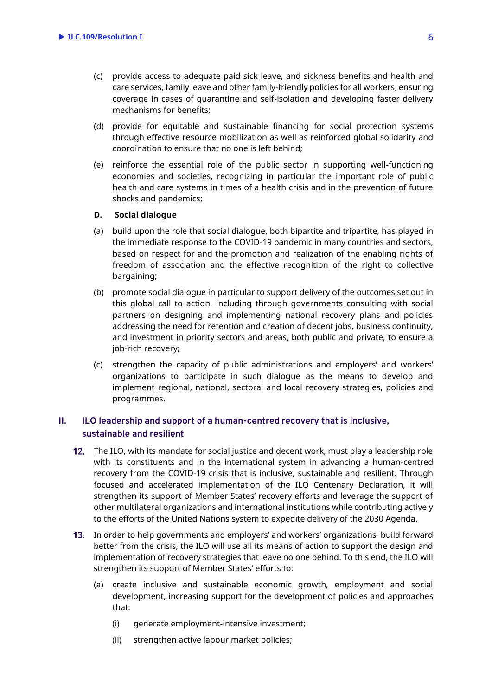- (c) provide access to adequate paid sick leave, and sickness benefits and health and care services, family leave and other family-friendly policies for all workers, ensuring coverage in cases of quarantine and self-isolation and developing faster delivery mechanisms for benefits;
- (d) provide for equitable and sustainable financing for social protection systems through effective resource mobilization as well as reinforced global solidarity and coordination to ensure that no one is left behind;
- (e) reinforce the essential role of the public sector in supporting well-functioning economies and societies, recognizing in particular the important role of public health and care systems in times of a health crisis and in the prevention of future shocks and pandemics;

#### **D. Social dialogue**

- (a) build upon the role that social dialogue, both bipartite and tripartite, has played in the immediate response to the COVID-19 pandemic in many countries and sectors, based on respect for and the promotion and realization of the enabling rights of freedom of association and the effective recognition of the right to collective bargaining;
- (b) promote social dialogue in particular to support delivery of the outcomes set out in this global call to action, including through governments consulting with social partners on designing and implementing national recovery plans and policies addressing the need for retention and creation of decent jobs, business continuity, and investment in priority sectors and areas, both public and private, to ensure a job-rich recovery;
- (c) strengthen the capacity of public administrations and employers' and workers' organizations to participate in such dialogue as the means to develop and implement regional, national, sectoral and local recovery strategies, policies and programmes.

### **II. ILO leadership and support of a human-centred recovery that is inclusive, sustainable and resilient**

- **12.** The ILO, with its mandate for social justice and decent work, must play a leadership role with its constituents and in the international system in advancing a human-centred recovery from the COVID-19 crisis that is inclusive, sustainable and resilient. Through focused and accelerated implementation of the ILO Centenary Declaration, it will strengthen its support of Member States' recovery efforts and leverage the support of other multilateral organizations and international institutions while contributing actively to the efforts of the United Nations system to expedite delivery of the 2030 Agenda.
- In order to help governments and employers' and workers' organizations build forward better from the crisis, the ILO will use all its means of action to support the design and implementation of recovery strategies that leave no one behind. To this end, the ILO will strengthen its support of Member States' efforts to:
	- (a) create inclusive and sustainable economic growth, employment and social development, increasing support for the development of policies and approaches that:
		- (i) generate employment-intensive investment;
		- (ii) strengthen active labour market policies;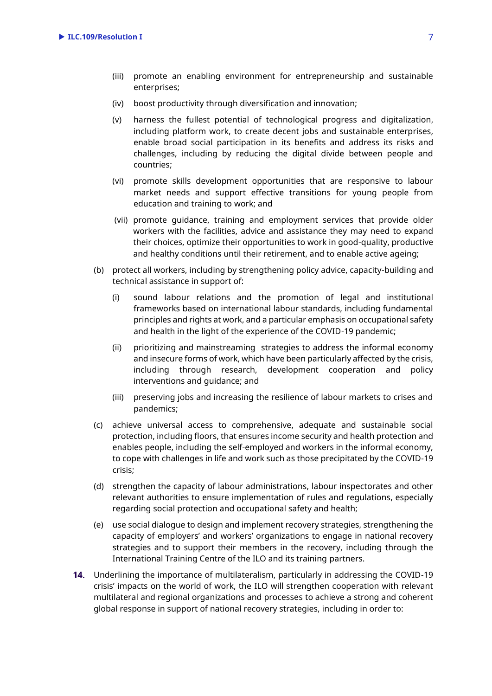- (iii) promote an enabling environment for entrepreneurship and sustainable enterprises;
- (iv) boost productivity through diversification and innovation;
- (v) harness the fullest potential of technological progress and digitalization, including platform work, to create decent jobs and sustainable enterprises, enable broad social participation in its benefits and address its risks and challenges, including by reducing the digital divide between people and countries;
- (vi) promote skills development opportunities that are responsive to labour market needs and support effective transitions for young people from education and training to work; and
- (vii) promote guidance, training and employment services that provide older workers with the facilities, advice and assistance they may need to expand their choices, optimize their opportunities to work in good-quality, productive and healthy conditions until their retirement, and to enable active ageing;
- (b) protect all workers, including by strengthening policy advice, capacity-building and technical assistance in support of:
	- (i) sound labour relations and the promotion of legal and institutional frameworks based on international labour standards, including fundamental principles and rights at work, and a particular emphasis on occupational safety and health in the light of the experience of the COVID-19 pandemic;
	- (ii) prioritizing and mainstreaming strategies to address the informal economy and insecure forms of work, which have been particularly affected by the crisis, including through research, development cooperation and policy interventions and guidance; and
	- (iii) preserving jobs and increasing the resilience of labour markets to crises and pandemics;
- (c) achieve universal access to comprehensive, adequate and sustainable social protection, including floors, that ensures income security and health protection and enables people, including the self-employed and workers in the informal economy, to cope with challenges in life and work such as those precipitated by the COVID-19 crisis;
- (d) strengthen the capacity of labour administrations, labour inspectorates and other relevant authorities to ensure implementation of rules and regulations, especially regarding social protection and occupational safety and health;
- (e) use social dialogue to design and implement recovery strategies, strengthening the capacity of employers' and workers' organizations to engage in national recovery strategies and to support their members in the recovery, including through the International Training Centre of the ILO and its training partners.
- Underlining the importance of multilateralism, particularly in addressing the COVID-19 crisis' impacts on the world of work, the ILO will strengthen cooperation with relevant multilateral and regional organizations and processes to achieve a strong and coherent global response in support of national recovery strategies, including in order to: